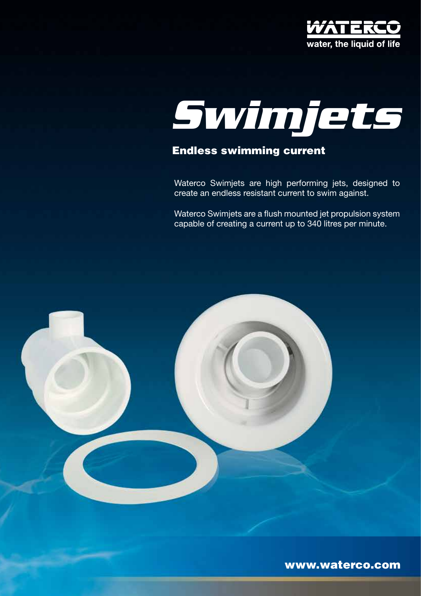



# Endless swimming current

Waterco Swimjets are high performing jets, designed to create an endless resistant current to swim against.

Waterco Swimjets are a flush mounted jet propulsion system capable of creating a current up to 340 litres per minute.